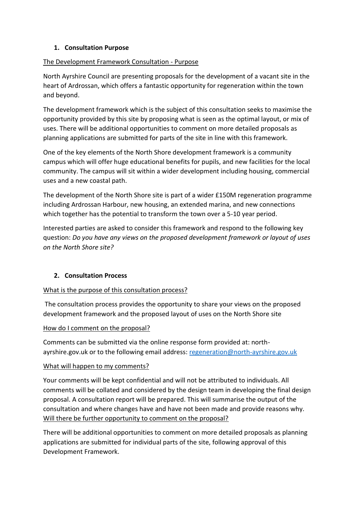## **1. Consultation Purpose**

### The Development Framework Consultation - Purpose

North Ayrshire Council are presenting proposals for the development of a vacant site in the heart of Ardrossan, which offers a fantastic opportunity for regeneration within the town and beyond.

The development framework which is the subject of this consultation seeks to maximise the opportunity provided by this site by proposing what is seen as the optimal layout, or mix of uses. There will be additional opportunities to comment on more detailed proposals as planning applications are submitted for parts of the site in line with this framework.

One of the key elements of the North Shore development framework is a community campus which will offer huge educational benefits for pupils, and new facilities for the local community. The campus will sit within a wider development including housing, commercial uses and a new coastal path.

The development of the North Shore site is part of a wider £150M regeneration programme including Ardrossan Harbour, new housing, an extended marina, and new connections which together has the potential to transform the town over a 5-10 year period.

Interested parties are asked to consider this framework and respond to the following key question: *Do you have any views on the proposed development framework or layout of uses on the North Shore site?*

# **2. Consultation Process**

### What is the purpose of this consultation process?

The consultation process provides the opportunity to share your views on the proposed development framework and the proposed layout of uses on the North Shore site

### How do I comment on the proposal?

Comments can be submitted via the online response form provided at: northayrshire.gov.uk or to the following email address: [regeneration@north-ayrshire.gov.uk](mailto:regeneration@north-ayrshire.gov.uk)

### What will happen to my comments?

Your comments will be kept confidential and will not be attributed to individuals. All comments will be collated and considered by the design team in developing the final design proposal. A consultation report will be prepared. This will summarise the output of the consultation and where changes have and have not been made and provide reasons why. Will there be further opportunity to comment on the proposal?

There will be additional opportunities to comment on more detailed proposals as planning applications are submitted for individual parts of the site, following approval of this Development Framework.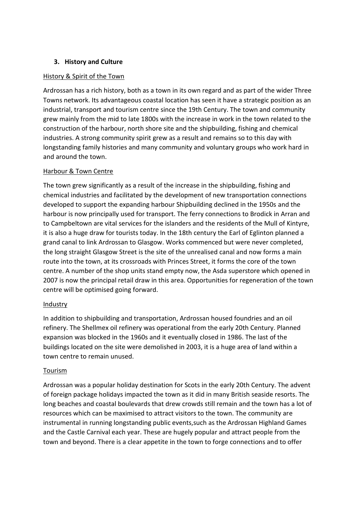### **3. History and Culture**

### History & Spirit of the Town

Ardrossan has a rich history, both as a town in its own regard and as part of the wider Three Towns network. Its advantageous coastal location has seen it have a strategic position as an industrial, transport and tourism centre since the 19th Century. The town and community grew mainly from the mid to late 1800s with the increase in work in the town related to the construction of the harbour, north shore site and the shipbuilding, fishing and chemical industries. A strong community spirit grew as a result and remains so to this day with longstanding family histories and many community and voluntary groups who work hard in and around the town.

### Harbour & Town Centre

The town grew significantly as a result of the increase in the shipbuilding, fishing and chemical industries and facilitated by the development of new transportation connections developed to support the expanding harbour Shipbuilding declined in the 1950s and the harbour is now principally used for transport. The ferry connections to Brodick in Arran and to Campbeltown are vital services for the islanders and the residents of the Mull of Kintyre, it is also a huge draw for tourists today. In the 18th century the Earl of Eglinton planned a grand canal to link Ardrossan to Glasgow. Works commenced but were never completed, the long straight Glasgow Street is the site of the unrealised canal and now forms a main route into the town, at its crossroads with Princes Street, it forms the core of the town centre. A number of the shop units stand empty now, the Asda superstore which opened in 2007 is now the principal retail draw in this area. Opportunities for regeneration of the town centre will be optimised going forward.

### Industry

In addition to shipbuilding and transportation, Ardrossan housed foundries and an oil refinery. The Shellmex oil refinery was operational from the early 20th Century. Planned expansion was blocked in the 1960s and it eventually closed in 1986. The last of the buildings located on the site were demolished in 2003, it is a huge area of land within a town centre to remain unused.

### Tourism

Ardrossan was a popular holiday destination for Scots in the early 20th Century. The advent of foreign package holidays impacted the town as it did in many British seaside resorts. The long beaches and coastal boulevards that drew crowds still remain and the town has a lot of resources which can be maximised to attract visitors to the town. The community are instrumental in running longstanding public events,such as the Ardrossan Highland Games and the Castle Carnival each year. These are hugely popular and attract people from the town and beyond. There is a clear appetite in the town to forge connections and to offer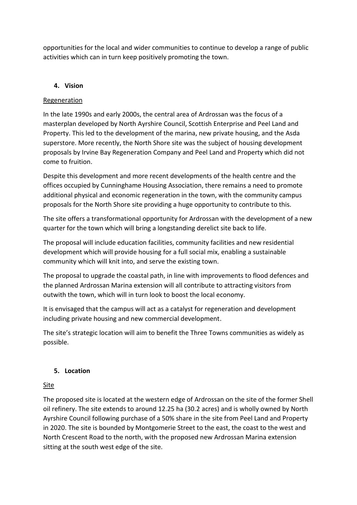opportunities for the local and wider communities to continue to develop a range of public activities which can in turn keep positively promoting the town.

# **4. Vision**

### Regeneration

In the late 1990s and early 2000s, the central area of Ardrossan was the focus of a masterplan developed by North Ayrshire Council, Scottish Enterprise and Peel Land and Property. This led to the development of the marina, new private housing, and the Asda superstore. More recently, the North Shore site was the subject of housing development proposals by Irvine Bay Regeneration Company and Peel Land and Property which did not come to fruition.

Despite this development and more recent developments of the health centre and the offices occupied by Cunninghame Housing Association, there remains a need to promote additional physical and economic regeneration in the town, with the community campus proposals for the North Shore site providing a huge opportunity to contribute to this.

The site offers a transformational opportunity for Ardrossan with the development of a new quarter for the town which will bring a longstanding derelict site back to life.

The proposal will include education facilities, community facilities and new residential development which will provide housing for a full social mix, enabling a sustainable community which will knit into, and serve the existing town.

The proposal to upgrade the coastal path, in line with improvements to flood defences and the planned Ardrossan Marina extension will all contribute to attracting visitors from outwith the town, which will in turn look to boost the local economy.

It is envisaged that the campus will act as a catalyst for regeneration and development including private housing and new commercial development.

The site's strategic location will aim to benefit the Three Towns communities as widely as possible.

### **5. Location**

### Site

The proposed site is located at the western edge of Ardrossan on the site of the former Shell oil refinery. The site extends to around 12.25 ha (30.2 acres) and is wholly owned by North Ayrshire Council following purchase of a 50% share in the site from Peel Land and Property in 2020. The site is bounded by Montgomerie Street to the east, the coast to the west and North Crescent Road to the north, with the proposed new Ardrossan Marina extension sitting at the south west edge of the site.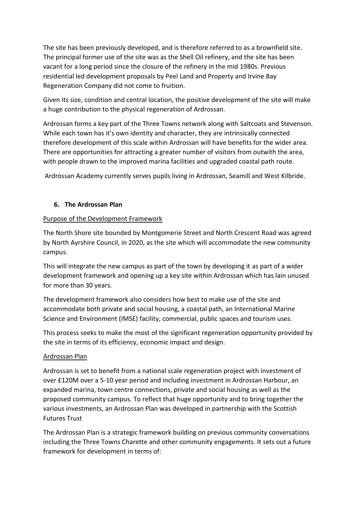The site has been previously developed, and is therefore referred to as a brownfield site. The principal former use of the site was as the Shell Oil refinery, and the site has been vacant for a long period since the closure of the refinery in the mid 1980s. Previous residential led development proposals by Peel Land and Property and Irvine Bay Regeneration Company did not come to fruition.

Given its size, condition and central location, the positive development of the site will make a huge contribution to the physical regeneration of Ardrossan.

Ardrossan forms a key part of the Three Towns network along with Saltcoats and Stevenson. While each town has it's own identity and character, they are intrinsically connected therefore development of this scale within Ardrossan will have benefits for the wider area. There are opportunities for attracting a greater number of visitors from outwith the area, with people drawn to the improved marina facilities and upgraded coastal path route.

Ardrossan Academy currently serves pupils living in Ardrossan, Seamill and West Kilbride.

### **6. The Ardrossan Plan**

### Purpose of the Development Framework

The North Shore site bounded by Montgomerie Street and North Crescent Road was agreed by North Ayrshire Council, in 2020, as the site which will accommodate the new community campus.

This will integrate the new campus as part of the town by developing it as part of a wider development framework and opening up a key site within Ardrossan which has lain unused for more than 30 years.

The development framework also considers how best to make use of the site and accommodate both private and social housing, a coastal path, an International Marine Science and Environment (IMSE) facility, commercial, public spaces and tourism uses.

This process seeks to make the most of the significant regeneration opportunity provided by the site in terms of its efficiency, economic impact and design.

### Ardrossan Plan

Ardrossan is set to benefit from a national scale regeneration project with investment of over £120M over a 5-10 year period and including investment in Ardrossan Harbour, an expanded marina, town centre connections, private and social housing as well as the proposed community campus. To reflect that huge opportunity and to bring together the various investments, an Ardrossan Plan was developed in partnership with the Scottish Futures Trust

The Ardrossan Plan is a strategic framework building on previous community conversations including the Three Towns Charette and other community engagements. It sets out a future framework for development in terms of: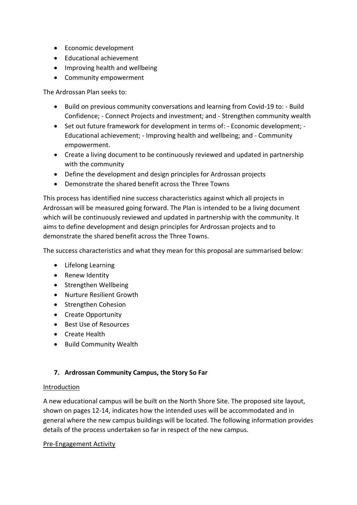- Economic development
- Educational achievement
- Improving health and wellbeing
- Community empowerment

The Ardrossan Plan seeks to:

- Build on previous community conversations and learning from Covid-19 to: Build Confidence; - Connect Projects and investment; and - Strengthen community wealth
- Set out future framework for development in terms of: Economic development; Educational achievement; - Improving health and wellbeing; and - Community empowerment.
- Create a living document to be continuously reviewed and updated in partnership with the community
- Define the development and design principles for Ardrossan projects
- Demonstrate the shared benefit across the Three Towns

This process has identified nine success characteristics against which all projects in Ardrossan will be measured going forward. The Plan is intended to be a living document which will be continuously reviewed and updated in partnership with the community. It aims to define development and design principles for Ardrossan projects and to demonstrate the shared benefit across the Three Towns.

The success characteristics and what they mean for this proposal are summarised below:

- Lifelong Learning
- Renew Identity
- Strengthen Wellbeing
- Nurture Resilient Growth
- Strengthen Cohesion
- Create Opportunity
- Best Use of Resources
- Create Health
- Build Community Wealth

### **7. Ardrossan Community Campus, the Story So Far**

#### Introduction

A new educational campus will be built on the North Shore Site. The proposed site layout, shown on pages 12-14, indicates how the intended uses will be accommodated and in general where the new campus buildings will be located. The following information provides details of the process undertaken so far in respect of the new campus.

#### Pre-Engagement Activity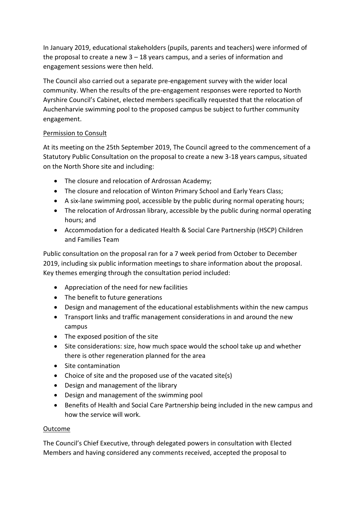In January 2019, educational stakeholders (pupils, parents and teachers) were informed of the proposal to create a new  $3 - 18$  years campus, and a series of information and engagement sessions were then held.

The Council also carried out a separate pre-engagement survey with the wider local community. When the results of the pre-engagement responses were reported to North Ayrshire Council's Cabinet, elected members specifically requested that the relocation of Auchenharvie swimming pool to the proposed campus be subject to further community engagement.

# Permission to Consult

At its meeting on the 25th September 2019, The Council agreed to the commencement of a Statutory Public Consultation on the proposal to create a new 3-18 years campus, situated on the North Shore site and including:

- The closure and relocation of Ardrossan Academy;
- The closure and relocation of Winton Primary School and Early Years Class;
- A six-lane swimming pool, accessible by the public during normal operating hours;
- The relocation of Ardrossan library, accessible by the public during normal operating hours; and
- Accommodation for a dedicated Health & Social Care Partnership (HSCP) Children and Families Team

Public consultation on the proposal ran for a 7 week period from October to December 2019, including six public information meetings to share information about the proposal. Key themes emerging through the consultation period included:

- Appreciation of the need for new facilities
- The benefit to future generations
- Design and management of the educational establishments within the new campus
- Transport links and traffic management considerations in and around the new campus
- The exposed position of the site
- Site considerations: size, how much space would the school take up and whether there is other regeneration planned for the area
- Site contamination
- Choice of site and the proposed use of the vacated site(s)
- Design and management of the library
- Design and management of the swimming pool
- Benefits of Health and Social Care Partnership being included in the new campus and how the service will work.

### Outcome

The Council's Chief Executive, through delegated powers in consultation with Elected Members and having considered any comments received, accepted the proposal to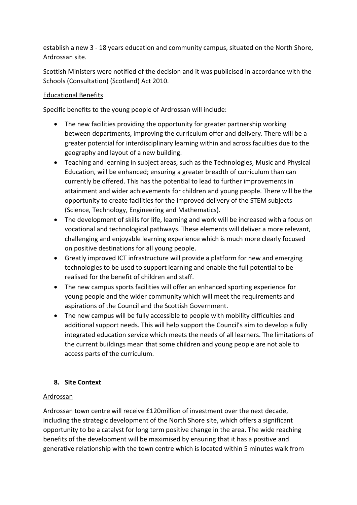establish a new 3 - 18 years education and community campus, situated on the North Shore, Ardrossan site.

Scottish Ministers were notified of the decision and it was publicised in accordance with the Schools (Consultation) (Scotland) Act 2010.

## Educational Benefits

Specific benefits to the young people of Ardrossan will include:

- The new facilities providing the opportunity for greater partnership working between departments, improving the curriculum offer and delivery. There will be a greater potential for interdisciplinary learning within and across faculties due to the geography and layout of a new building.
- Teaching and learning in subject areas, such as the Technologies, Music and Physical Education, will be enhanced; ensuring a greater breadth of curriculum than can currently be offered. This has the potential to lead to further improvements in attainment and wider achievements for children and young people. There will be the opportunity to create facilities for the improved delivery of the STEM subjects (Science, Technology, Engineering and Mathematics).
- The development of skills for life, learning and work will be increased with a focus on vocational and technological pathways. These elements will deliver a more relevant, challenging and enjoyable learning experience which is much more clearly focused on positive destinations for all young people.
- Greatly improved ICT infrastructure will provide a platform for new and emerging technologies to be used to support learning and enable the full potential to be realised for the benefit of children and staff.
- The new campus sports facilities will offer an enhanced sporting experience for young people and the wider community which will meet the requirements and aspirations of the Council and the Scottish Government.
- The new campus will be fully accessible to people with mobility difficulties and additional support needs. This will help support the Council's aim to develop a fully integrated education service which meets the needs of all learners. The limitations of the current buildings mean that some children and young people are not able to access parts of the curriculum.

# **8. Site Context**

### Ardrossan

Ardrossan town centre will receive £120million of investment over the next decade, including the strategic development of the North Shore site, which offers a significant opportunity to be a catalyst for long term positive change in the area. The wide reaching benefits of the development will be maximised by ensuring that it has a positive and generative relationship with the town centre which is located within 5 minutes walk from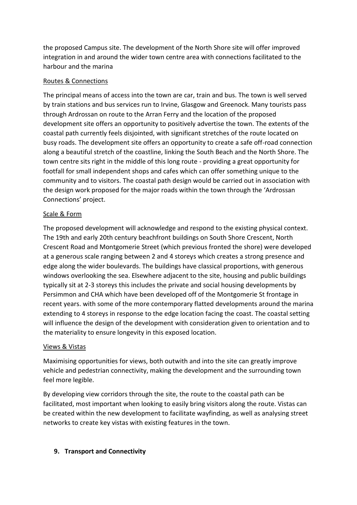the proposed Campus site. The development of the North Shore site will offer improved integration in and around the wider town centre area with connections facilitated to the harbour and the marina

## Routes & Connections

The principal means of access into the town are car, train and bus. The town is well served by train stations and bus services run to Irvine, Glasgow and Greenock. Many tourists pass through Ardrossan on route to the Arran Ferry and the location of the proposed development site offers an opportunity to positively advertise the town. The extents of the coastal path currently feels disjointed, with significant stretches of the route located on busy roads. The development site offers an opportunity to create a safe off-road connection along a beautiful stretch of the coastline, linking the South Beach and the North Shore. The town centre sits right in the middle of this long route - providing a great opportunity for footfall for small independent shops and cafes which can offer something unique to the community and to visitors. The coastal path design would be carried out in association with the design work proposed for the major roads within the town through the 'Ardrossan Connections' project.

## Scale & Form

The proposed development will acknowledge and respond to the existing physical context. The 19th and early 20th century beachfront buildings on South Shore Crescent, North Crescent Road and Montgomerie Street (which previous fronted the shore) were developed at a generous scale ranging between 2 and 4 storeys which creates a strong presence and edge along the wider boulevards. The buildings have classical proportions, with generous windows overlooking the sea. Elsewhere adjacent to the site, housing and public buildings typically sit at 2-3 storeys this includes the private and social housing developments by Persimmon and CHA which have been developed off of the Montgomerie St frontage in recent years. with some of the more contemporary flatted developments around the marina extending to 4 storeys in response to the edge location facing the coast. The coastal setting will influence the design of the development with consideration given to orientation and to the materiality to ensure longevity in this exposed location.

### Views & Vistas

Maximising opportunities for views, both outwith and into the site can greatly improve vehicle and pedestrian connectivity, making the development and the surrounding town feel more legible.

By developing view corridors through the site, the route to the coastal path can be facilitated, most important when looking to easily bring visitors along the route. Vistas can be created within the new development to facilitate wayfinding, as well as analysing street networks to create key vistas with existing features in the town.

# **9. Transport and Connectivity**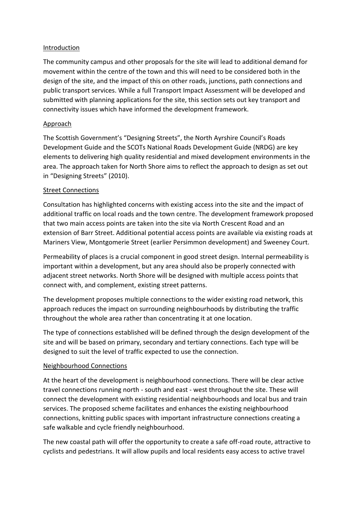#### Introduction

The community campus and other proposals for the site will lead to additional demand for movement within the centre of the town and this will need to be considered both in the design of the site, and the impact of this on other roads, junctions, path connections and public transport services. While a full Transport Impact Assessment will be developed and submitted with planning applications for the site, this section sets out key transport and connectivity issues which have informed the development framework.

### Approach

The Scottish Government's "Designing Streets", the North Ayrshire Council's Roads Development Guide and the SCOTs National Roads Development Guide (NRDG) are key elements to delivering high quality residential and mixed development environments in the area. The approach taken for North Shore aims to reflect the approach to design as set out in "Designing Streets" (2010).

#### Street Connections

Consultation has highlighted concerns with existing access into the site and the impact of additional traffic on local roads and the town centre. The development framework proposed that two main access points are taken into the site via North Crescent Road and an extension of Barr Street. Additional potential access points are available via existing roads at Mariners View, Montgomerie Street (earlier Persimmon development) and Sweeney Court.

Permeability of places is a crucial component in good street design. Internal permeability is important within a development, but any area should also be properly connected with adjacent street networks. North Shore will be designed with multiple access points that connect with, and complement, existing street patterns.

The development proposes multiple connections to the wider existing road network, this approach reduces the impact on surrounding neighbourhoods by distributing the traffic throughout the whole area rather than concentrating it at one location.

The type of connections established will be defined through the design development of the site and will be based on primary, secondary and tertiary connections. Each type will be designed to suit the level of traffic expected to use the connection.

### Neighbourhood Connections

At the heart of the development is neighbourhood connections. There will be clear active travel connections running north - south and east - west throughout the site. These will connect the development with existing residential neighbourhoods and local bus and train services. The proposed scheme facilitates and enhances the existing neighbourhood connections, knitting public spaces with important infrastructure connections creating a safe walkable and cycle friendly neighbourhood.

The new coastal path will offer the opportunity to create a safe off-road route, attractive to cyclists and pedestrians. It will allow pupils and local residents easy access to active travel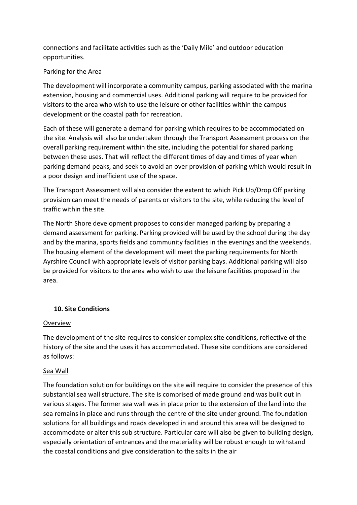connections and facilitate activities such as the 'Daily Mile' and outdoor education opportunities.

### Parking for the Area

The development will incorporate a community campus, parking associated with the marina extension, housing and commercial uses. Additional parking will require to be provided for visitors to the area who wish to use the leisure or other facilities within the campus development or the coastal path for recreation.

Each of these will generate a demand for parking which requires to be accommodated on the site. Analysis will also be undertaken through the Transport Assessment process on the overall parking requirement within the site, including the potential for shared parking between these uses. That will reflect the different times of day and times of year when parking demand peaks, and seek to avoid an over provision of parking which would result in a poor design and inefficient use of the space.

The Transport Assessment will also consider the extent to which Pick Up/Drop Off parking provision can meet the needs of parents or visitors to the site, while reducing the level of traffic within the site.

The North Shore development proposes to consider managed parking by preparing a demand assessment for parking. Parking provided will be used by the school during the day and by the marina, sports fields and community facilities in the evenings and the weekends. The housing element of the development will meet the parking requirements for North Ayrshire Council with appropriate levels of visitor parking bays. Additional parking will also be provided for visitors to the area who wish to use the leisure facilities proposed in the area.

### **10. Site Conditions**

#### **Overview**

The development of the site requires to consider complex site conditions, reflective of the history of the site and the uses it has accommodated. These site conditions are considered as follows:

#### Sea Wall

The foundation solution for buildings on the site will require to consider the presence of this substantial sea wall structure. The site is comprised of made ground and was built out in various stages. The former sea wall was in place prior to the extension of the land into the sea remains in place and runs through the centre of the site under ground. The foundation solutions for all buildings and roads developed in and around this area will be designed to accommodate or alter this sub structure. Particular care will also be given to building design, especially orientation of entrances and the materiality will be robust enough to withstand the coastal conditions and give consideration to the salts in the air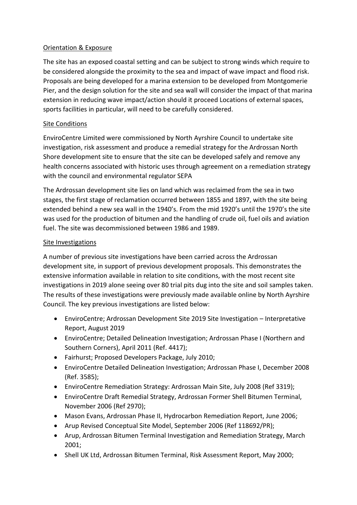## Orientation & Exposure

The site has an exposed coastal setting and can be subject to strong winds which require to be considered alongside the proximity to the sea and impact of wave impact and flood risk. Proposals are being developed for a marina extension to be developed from Montgomerie Pier, and the design solution for the site and sea wall will consider the impact of that marina extension in reducing wave impact/action should it proceed Locations of external spaces, sports facilities in particular, will need to be carefully considered.

## Site Conditions

EnviroCentre Limited were commissioned by North Ayrshire Council to undertake site investigation, risk assessment and produce a remedial strategy for the Ardrossan North Shore development site to ensure that the site can be developed safely and remove any health concerns associated with historic uses through agreement on a remediation strategy with the council and environmental regulator SEPA

The Ardrossan development site lies on land which was reclaimed from the sea in two stages, the first stage of reclamation occurred between 1855 and 1897, with the site being extended behind a new sea wall in the 1940's. From the mid 1920's until the 1970's the site was used for the production of bitumen and the handling of crude oil, fuel oils and aviation fuel. The site was decommissioned between 1986 and 1989.

## Site Investigations

A number of previous site investigations have been carried across the Ardrossan development site, in support of previous development proposals. This demonstrates the extensive information available in relation to site conditions, with the most recent site investigations in 2019 alone seeing over 80 trial pits dug into the site and soil samples taken. The results of these investigations were previously made available online by North Ayrshire Council. The key previous investigations are listed below:

- EnviroCentre; Ardrossan Development Site 2019 Site Investigation Interpretative Report, August 2019
- EnviroCentre; Detailed Delineation Investigation; Ardrossan Phase I (Northern and Southern Corners), April 2011 (Ref. 4417);
- Fairhurst; Proposed Developers Package, July 2010;
- EnviroCentre Detailed Delineation Investigation; Ardrossan Phase I, December 2008 (Ref. 3585);
- EnviroCentre Remediation Strategy: Ardrossan Main Site, July 2008 (Ref 3319);
- EnviroCentre Draft Remedial Strategy, Ardrossan Former Shell Bitumen Terminal, November 2006 (Ref 2970);
- Mason Evans, Ardrossan Phase II, Hydrocarbon Remediation Report, June 2006;
- Arup Revised Conceptual Site Model, September 2006 (Ref 118692/PR);
- Arup, Ardrossan Bitumen Terminal Investigation and Remediation Strategy, March 2001;
- Shell UK Ltd, Ardrossan Bitumen Terminal, Risk Assessment Report, May 2000;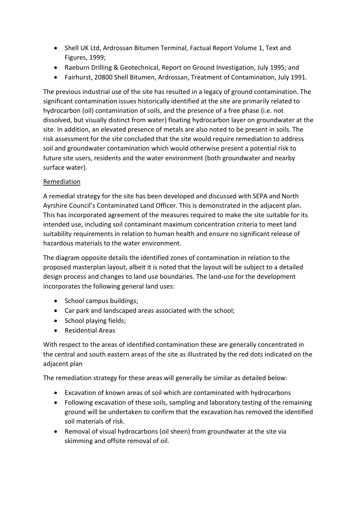- Shell UK Ltd, Ardrossan Bitumen Terminal, Factual Report Volume 1, Text and Figures, 1999;
- Raeburn Drilling & Geotechnical, Report on Ground Investigation, July 1995; and
- Fairhurst, 20800 Shell Bitumen, Ardrossan, Treatment of Contamination, July 1991.

The previous industrial use of the site has resulted in a legacy of ground contamination. The significant contamination issues historically identified at the site are primarily related to hydrocarbon (oil) contamination of soils, and the presence of a free phase (i.e. not dissolved, but visually distinct from water) floating hydrocarbon layer on groundwater at the site. In addition, an elevated presence of metals are also noted to be present in soils. The risk assessment for the site concluded that the site would require remediation to address soil and groundwater contamination which would otherwise present a potential risk to future site users, residents and the water environment (both groundwater and nearby surface water).

## Remediation

A remedial strategy for the site has been developed and discussed with SEPA and North Ayrshire Council's Contaminated Land Officer. This is demonstrated in the adjacent plan. This has incorporated agreement of the measures required to make the site suitable for its intended use, including soil contaminant maximum concentration criteria to meet land suitability requirements in relation to human health and ensure no significant release of hazardous materials to the water environment.

The diagram opposite details the identified zones of contamination in relation to the proposed masterplan layout, albeit it is noted that the layout will be subject to a detailed design process and changes to land use boundaries. The land-use for the development incorporates the following general land uses:

- School campus buildings;
- Car park and landscaped areas associated with the school;
- School playing fields;
- Residential Areas

With respect to the areas of identified contamination these are generally concentrated in the central and south eastern areas of the site as illustrated by the red dots indicated on the adjacent plan

The remediation strategy for these areas will generally be similar as detailed below:

- Excavation of known areas of soil which are contaminated with hydrocarbons
- Following excavation of these soils, sampling and laboratory testing of the remaining ground will be undertaken to confirm that the excavation has removed the identified soil materials of risk.
- Removal of visual hydrocarbons (oil sheen) from groundwater at the site via skimming and offsite removal of oil.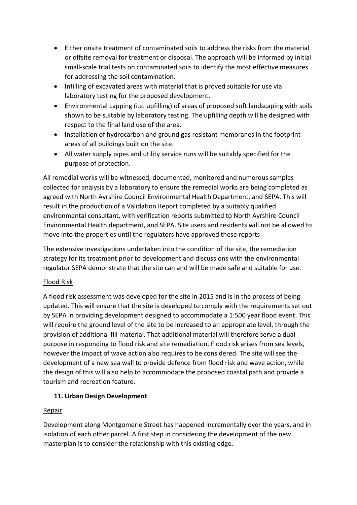- Either onsite treatment of contaminated soils to address the risks from the material or offsite removal for treatment or disposal. The approach will be informed by initial small-scale trial tests on contaminated soils to identify the most effective measures for addressing the soil contamination.
- Infilling of excavated areas with material that is proved suitable for use via laboratory testing for the proposed development.
- Environmental capping (i.e. upfilling) of areas of proposed soft landscaping with soils shown to be suitable by laboratory testing. The upfilling depth will be designed with respect to the final land use of the area.
- Installation of hydrocarbon and ground gas resistant membranes in the footprint areas of all buildings built on the site.
- All water supply pipes and utility service runs will be suitably specified for the purpose of protection.

All remedial works will be witnessed, documented, monitored and numerous samples collected for analysis by a laboratory to ensure the remedial works are being completed as agreed with North Ayrshire Council Environmental Health Department, and SEPA. This will result in the production of a Validation Report completed by a suitably qualified environmental consultant, with verification reports submitted to North Ayrshire Council Environmental Health department, and SEPA. Site users and residents will not be allowed to move into the properties until the regulators have approved these reports

The extensive investigations undertaken into the condition of the site, the remediation strategy for its treatment prior to development and discussions with the environmental regulator SEPA demonstrate that the site can and will be made safe and suitable for use.

# Flood Risk

A flood risk assessment was developed for the site in 2015 and is in the process of being updated. This will ensure that the site is developed to comply with the requirements set out by SEPA in providing development designed to accommodate a 1:500 year flood event. This will require the ground level of the site to be increased to an appropriate level, through the provision of additional fill material. That additional material will therefore serve a dual purpose in responding to flood risk and site remediation. Flood risk arises from sea levels, however the impact of wave action also requires to be considered. The site will see the development of a new sea wall to provide defence from flood risk and wave action, while the design of this will also help to accommodate the proposed coastal path and provide a tourism and recreation feature.

# **11. Urban Design Development**

### Repair

Development along Montgomerie Street has happened incrementally over the years, and in isolation of each other parcel. A first step in considering the development of the new masterplan is to consider the relationship with this existing edge.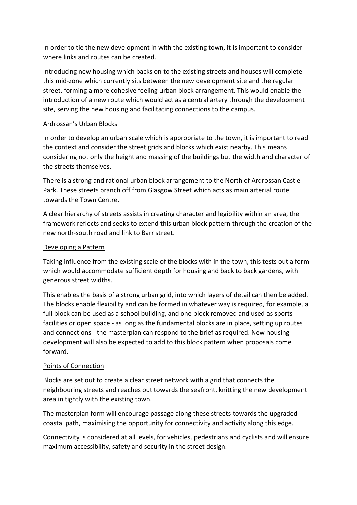In order to tie the new development in with the existing town, it is important to consider where links and routes can be created.

Introducing new housing which backs on to the existing streets and houses will complete this mid-zone which currently sits between the new development site and the regular street, forming a more cohesive feeling urban block arrangement. This would enable the introduction of a new route which would act as a central artery through the development site, serving the new housing and facilitating connections to the campus.

### Ardrossan's Urban Blocks

In order to develop an urban scale which is appropriate to the town, it is important to read the context and consider the street grids and blocks which exist nearby. This means considering not only the height and massing of the buildings but the width and character of the streets themselves.

There is a strong and rational urban block arrangement to the North of Ardrossan Castle Park. These streets branch off from Glasgow Street which acts as main arterial route towards the Town Centre.

A clear hierarchy of streets assists in creating character and legibility within an area, the framework reflects and seeks to extend this urban block pattern through the creation of the new north-south road and link to Barr street.

#### Developing a Pattern

Taking influence from the existing scale of the blocks with in the town, this tests out a form which would accommodate sufficient depth for housing and back to back gardens, with generous street widths.

This enables the basis of a strong urban grid, into which layers of detail can then be added. The blocks enable flexibility and can be formed in whatever way is required, for example, a full block can be used as a school building, and one block removed and used as sports facilities or open space - as long as the fundamental blocks are in place, setting up routes and connections - the masterplan can respond to the brief as required. New housing development will also be expected to add to this block pattern when proposals come forward.

### Points of Connection

Blocks are set out to create a clear street network with a grid that connects the neighbouring streets and reaches out towards the seafront, knitting the new development area in tightly with the existing town.

The masterplan form will encourage passage along these streets towards the upgraded coastal path, maximising the opportunity for connectivity and activity along this edge.

Connectivity is considered at all levels, for vehicles, pedestrians and cyclists and will ensure maximum accessibility, safety and security in the street design.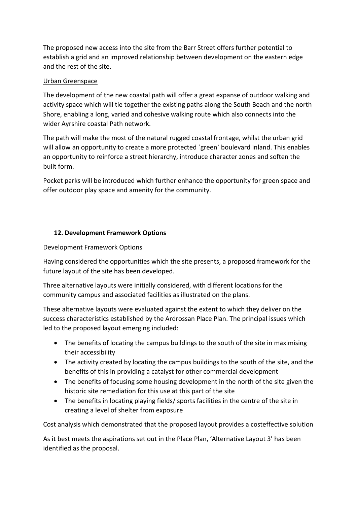The proposed new access into the site from the Barr Street offers further potential to establish a grid and an improved relationship between development on the eastern edge and the rest of the site.

## Urban Greenspace

The development of the new coastal path will offer a great expanse of outdoor walking and activity space which will tie together the existing paths along the South Beach and the north Shore, enabling a long, varied and cohesive walking route which also connects into the wider Ayrshire coastal Path network.

The path will make the most of the natural rugged coastal frontage, whilst the urban grid will allow an opportunity to create a more protected `green` boulevard inland. This enables an opportunity to reinforce a street hierarchy, introduce character zones and soften the built form.

Pocket parks will be introduced which further enhance the opportunity for green space and offer outdoor play space and amenity for the community.

## **12. Development Framework Options**

Development Framework Options

Having considered the opportunities which the site presents, a proposed framework for the future layout of the site has been developed.

Three alternative layouts were initially considered, with different locations for the community campus and associated facilities as illustrated on the plans.

These alternative layouts were evaluated against the extent to which they deliver on the success characteristics established by the Ardrossan Place Plan. The principal issues which led to the proposed layout emerging included:

- The benefits of locating the campus buildings to the south of the site in maximising their accessibility
- The activity created by locating the campus buildings to the south of the site, and the benefits of this in providing a catalyst for other commercial development
- The benefits of focusing some housing development in the north of the site given the historic site remediation for this use at this part of the site
- The benefits in locating playing fields/ sports facilities in the centre of the site in creating a level of shelter from exposure

Cost analysis which demonstrated that the proposed layout provides a costeffective solution

As it best meets the aspirations set out in the Place Plan, 'Alternative Layout 3' has been identified as the proposal.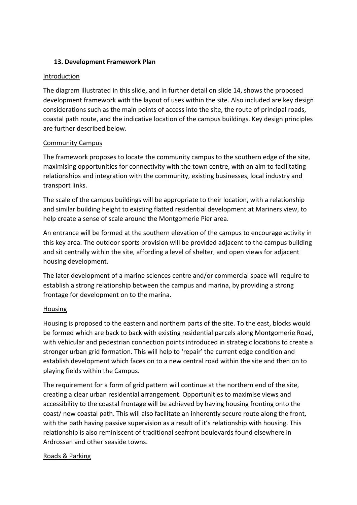### **13. Development Framework Plan**

#### Introduction

The diagram illustrated in this slide, and in further detail on slide 14, shows the proposed development framework with the layout of uses within the site. Also included are key design considerations such as the main points of access into the site, the route of principal roads, coastal path route, and the indicative location of the campus buildings. Key design principles are further described below.

### Community Campus

The framework proposes to locate the community campus to the southern edge of the site, maximising opportunities for connectivity with the town centre, with an aim to facilitating relationships and integration with the community, existing businesses, local industry and transport links.

The scale of the campus buildings will be appropriate to their location, with a relationship and similar building height to existing flatted residential development at Mariners view, to help create a sense of scale around the Montgomerie Pier area.

An entrance will be formed at the southern elevation of the campus to encourage activity in this key area. The outdoor sports provision will be provided adjacent to the campus building and sit centrally within the site, affording a level of shelter, and open views for adjacent housing development.

The later development of a marine sciences centre and/or commercial space will require to establish a strong relationship between the campus and marina, by providing a strong frontage for development on to the marina.

### Housing

Housing is proposed to the eastern and northern parts of the site. To the east, blocks would be formed which are back to back with existing residential parcels along Montgomerie Road, with vehicular and pedestrian connection points introduced in strategic locations to create a stronger urban grid formation. This will help to 'repair' the current edge condition and establish development which faces on to a new central road within the site and then on to playing fields within the Campus.

The requirement for a form of grid pattern will continue at the northern end of the site, creating a clear urban residential arrangement. Opportunities to maximise views and accessibility to the coastal frontage will be achieved by having housing fronting onto the coast/ new coastal path. This will also facilitate an inherently secure route along the front, with the path having passive supervision as a result of it's relationship with housing. This relationship is also reminiscent of traditional seafront boulevards found elsewhere in Ardrossan and other seaside towns.

### Roads & Parking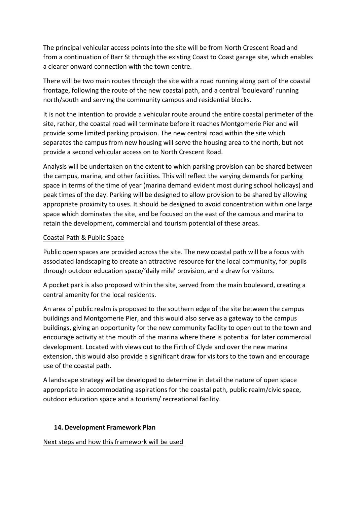The principal vehicular access points into the site will be from North Crescent Road and from a continuation of Barr St through the existing Coast to Coast garage site, which enables a clearer onward connection with the town centre.

There will be two main routes through the site with a road running along part of the coastal frontage, following the route of the new coastal path, and a central 'boulevard' running north/south and serving the community campus and residential blocks.

It is not the intention to provide a vehicular route around the entire coastal perimeter of the site, rather, the coastal road will terminate before it reaches Montgomerie Pier and will provide some limited parking provision. The new central road within the site which separates the campus from new housing will serve the housing area to the north, but not provide a second vehicular access on to North Crescent Road.

Analysis will be undertaken on the extent to which parking provision can be shared between the campus, marina, and other facilities. This will reflect the varying demands for parking space in terms of the time of year (marina demand evident most during school holidays) and peak times of the day. Parking will be designed to allow provision to be shared by allowing appropriate proximity to uses. It should be designed to avoid concentration within one large space which dominates the site, and be focused on the east of the campus and marina to retain the development, commercial and tourism potential of these areas.

#### Coastal Path & Public Space

Public open spaces are provided across the site. The new coastal path will be a focus with associated landscaping to create an attractive resource for the local community, for pupils through outdoor education space/'daily mile' provision, and a draw for visitors.

A pocket park is also proposed within the site, served from the main boulevard, creating a central amenity for the local residents.

An area of public realm is proposed to the southern edge of the site between the campus buildings and Montgomerie Pier, and this would also serve as a gateway to the campus buildings, giving an opportunity for the new community facility to open out to the town and encourage activity at the mouth of the marina where there is potential for later commercial development. Located with views out to the Firth of Clyde and over the new marina extension, this would also provide a significant draw for visitors to the town and encourage use of the coastal path.

A landscape strategy will be developed to determine in detail the nature of open space appropriate in accommodating aspirations for the coastal path, public realm/civic space, outdoor education space and a tourism/ recreational facility.

### **14. Development Framework Plan**

### Next steps and how this framework will be used